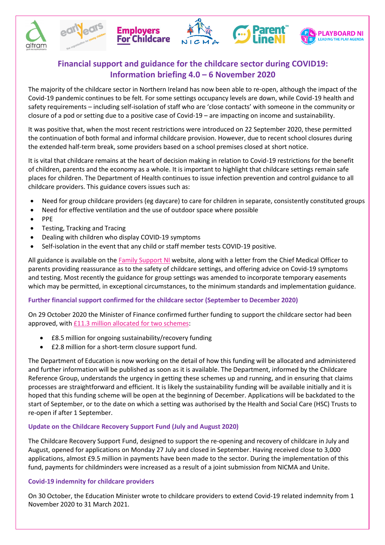





The majority of the childcare sector in Northern Ireland has now been able to re-open, although the impact of the Covid-19 pandemic continues to be felt. For some settings occupancy levels are down, while Covid-19 health and safety requirements – including self-isolation of staff who are 'close contacts' with someone in the community or closure of a pod or setting due to a positive case of Covid-19 – are impacting on income and sustainability.

It was positive that, when the most recent restrictions were introduced on 22 September 2020, these permitted the continuation of both formal and informal childcare provision. However, due to recent school closures during the extended half-term break, some providers based on a school premises closed at short notice.

It is vital that childcare remains at the heart of decision making in relation to Covid-19 restrictions for the benefit of children, parents and the economy as a whole. It is important to highlight that childcare settings remain safe places for children. The Department of Health continues to issue infection prevention and control guidance to all childcare providers. This guidance covers issues such as:

- Need for group childcare providers (eg daycare) to care for children in separate, consistently constituted groups
- Need for effective ventilation and the use of outdoor space where possible
- PPE
- **•** Testing, Tracking and Tracing
- Dealing with children who display COVID-19 symptoms
- Self-isolation in the event that any child or staff member tests COVID-19 positive.

All guidance is available on the Family Support NI website, along with a letter from the Chief Medical Officer to parents providing reassurance as to the safety of childcare settings, and offering advice on Covid-19 symptoms and testing. Most recently the guidance for group settings was amended to incorporate temporary easements which may be permitted, in exceptional circumstances, to the minimum standards and implementation guidance.

# **Further financial support confirmed for the childcare sector (September to December 2020)**

On 29 October 2020 the Minister of Finance confirmed further funding to support the childcare sector had been approved, with [£11.3 million allocated for two schemes:](https://www.finance-ni.gov.uk/news/ps790m-package-announced-by-minister-murphy-includes-ps560m-bolster-health-service)

- £8.5 million for ongoing sustainability/recovery funding
- £2.8 million for a short-term closure support fund.

The Department of Education is now working on the detail of how this funding will be allocated and administered and further information will be published as soon as it is available. The Department, informed by the Childcare Reference Group, understands the urgency in getting these schemes up and running, and in ensuring that claims processes are straightforward and efficient. It is likely the sustainability funding will be available initially and it is hoped that this funding scheme will be open at the beginning of December. Applications will be backdated to the start of September, or to the date on which a setting was authorised by the Health and Social Care (HSC) Trusts to re-open if after 1 September.

## **Update on the Childcare Recovery Support Fund (July and August 2020)**

The Childcare Recovery Support Fund, designed to support the re-opening and recovery of childcare in July and August, opened for applications on Monday 27 July and closed in September. Having received close to 3,000 applications, almost £9.5 million in payments have been made to the sector. During the implementation of this fund, payments for childminders were increased as a result of a joint submission from NICMA and Unite.

## **Covid-19 indemnity for childcare providers**

On 30 October, the Education Minister wrote to childcare providers to extend Covid-19 related indemnity from 1 November 2020 to 31 March 2021.